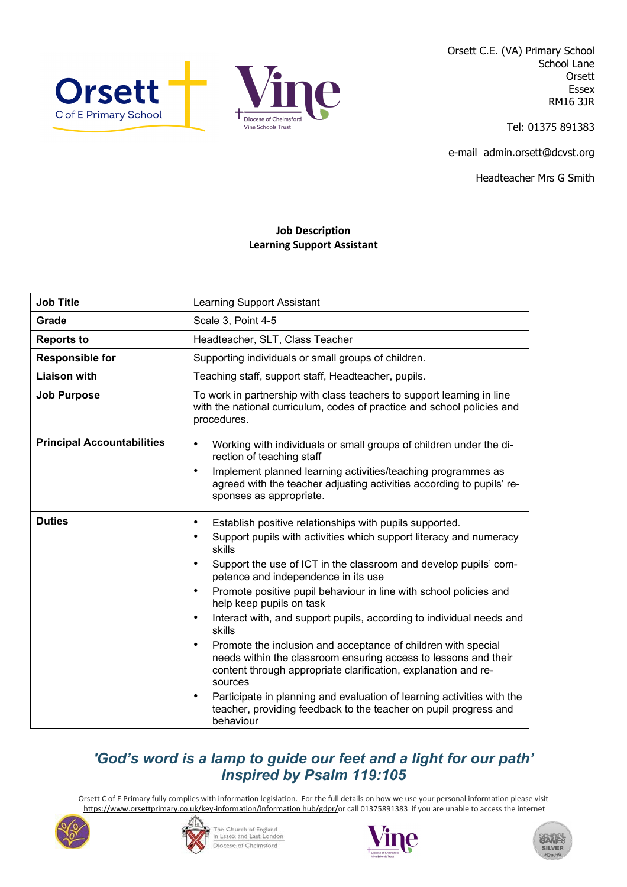



Orsett C.E. (VA) Primary School School Lane **Orsett** Essex RM16 3JR

Tel: 01375 891383

e-mail admin.orsett@dcvst.org

Headteacher Mrs G Smith

## **Job Description Learning Support Assistant**

| <b>Job Title</b>                  | <b>Learning Support Assistant</b>                                                                                                                                                                                                                                                                                                                                                                                                                                                                                                                                                                                                                                                                                                                                                                                                                                                                    |
|-----------------------------------|------------------------------------------------------------------------------------------------------------------------------------------------------------------------------------------------------------------------------------------------------------------------------------------------------------------------------------------------------------------------------------------------------------------------------------------------------------------------------------------------------------------------------------------------------------------------------------------------------------------------------------------------------------------------------------------------------------------------------------------------------------------------------------------------------------------------------------------------------------------------------------------------------|
| Grade                             | Scale 3, Point 4-5                                                                                                                                                                                                                                                                                                                                                                                                                                                                                                                                                                                                                                                                                                                                                                                                                                                                                   |
| <b>Reports to</b>                 | Headteacher, SLT, Class Teacher                                                                                                                                                                                                                                                                                                                                                                                                                                                                                                                                                                                                                                                                                                                                                                                                                                                                      |
| <b>Responsible for</b>            | Supporting individuals or small groups of children.                                                                                                                                                                                                                                                                                                                                                                                                                                                                                                                                                                                                                                                                                                                                                                                                                                                  |
| <b>Liaison with</b>               | Teaching staff, support staff, Headteacher, pupils.                                                                                                                                                                                                                                                                                                                                                                                                                                                                                                                                                                                                                                                                                                                                                                                                                                                  |
| <b>Job Purpose</b>                | To work in partnership with class teachers to support learning in line<br>with the national curriculum, codes of practice and school policies and<br>procedures.                                                                                                                                                                                                                                                                                                                                                                                                                                                                                                                                                                                                                                                                                                                                     |
| <b>Principal Accountabilities</b> | Working with individuals or small groups of children under the di-<br>$\bullet$<br>rection of teaching staff<br>Implement planned learning activities/teaching programmes as<br>$\bullet$<br>agreed with the teacher adjusting activities according to pupils' re-<br>sponses as appropriate.                                                                                                                                                                                                                                                                                                                                                                                                                                                                                                                                                                                                        |
| <b>Duties</b>                     | Establish positive relationships with pupils supported.<br>٠<br>Support pupils with activities which support literacy and numeracy<br>$\bullet$<br>skills<br>Support the use of ICT in the classroom and develop pupils' com-<br>$\bullet$<br>petence and independence in its use<br>Promote positive pupil behaviour in line with school policies and<br>$\bullet$<br>help keep pupils on task<br>Interact with, and support pupils, according to individual needs and<br>$\bullet$<br>skills<br>Promote the inclusion and acceptance of children with special<br>$\bullet$<br>needs within the classroom ensuring access to lessons and their<br>content through appropriate clarification, explanation and re-<br>sources<br>Participate in planning and evaluation of learning activities with the<br>$\bullet$<br>teacher, providing feedback to the teacher on pupil progress and<br>behaviour |

## *'God's word is a lamp to guide our feet and a light for our path' Inspired by Psalm 119:105*

Orsett C of E Primary fully complies with information legislation. For the full details on how we use your personal information please visit [https://www.orsettprimary.co.uk/key-information/information hub/gdpr/o](https://www.orsettprimary.co.uk/key-information/information%20hub/gdpr/)r call 01375891383 if you are unable to access the internet





The Church of England<br>in Essex and East London Diocese of Chelmsford